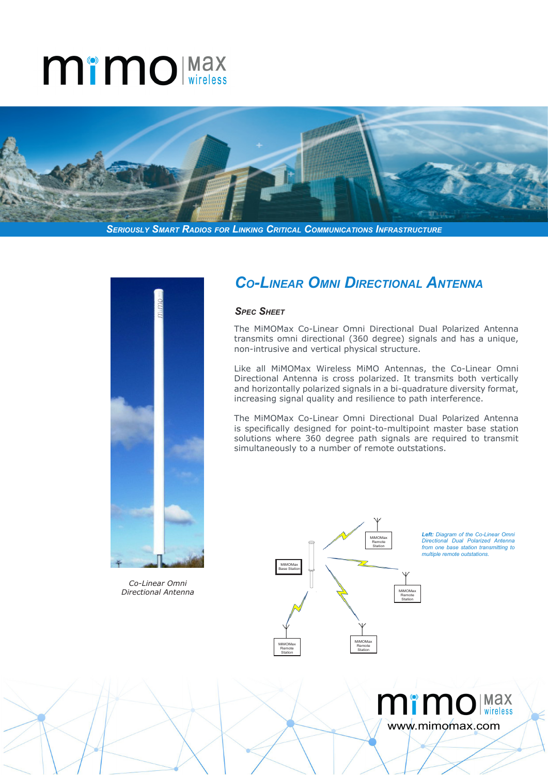# **MimO** Max



*Seriously Smart Radios for Linking Critical Communications Infrastructure*



*Co-Linear Omni Directional Antenna*

## *Co-Linear Omni Directional Antenna*

#### *Spec Sheet*

The MiMOMax Co-Linear Omni Directional Dual Polarized Antenna transmits omni directional (360 degree) signals and has a unique, non-intrusive and vertical physical structure.

Like all MiMOMax Wireless MiMO Antennas, the Co-Linear Omni Directional Antenna is cross polarized. It transmits both vertically and horizontally polarized signals in a bi-quadrature diversity format, increasing signal quality and resilience to path interference.

The MiMOMax Co-Linear Omni Directional Dual Polarized Antenna is specifically designed for point-to-multipoint master base station solutions where 360 degree path signals are required to transmit simultaneously to a number of remote outstations.



*Left: Diagram of the Co-Linear Omni Directional Dual Polarized Antenna from one base station transmitting to multiple remote outstations.* 

www.mimomax.com

mimolwax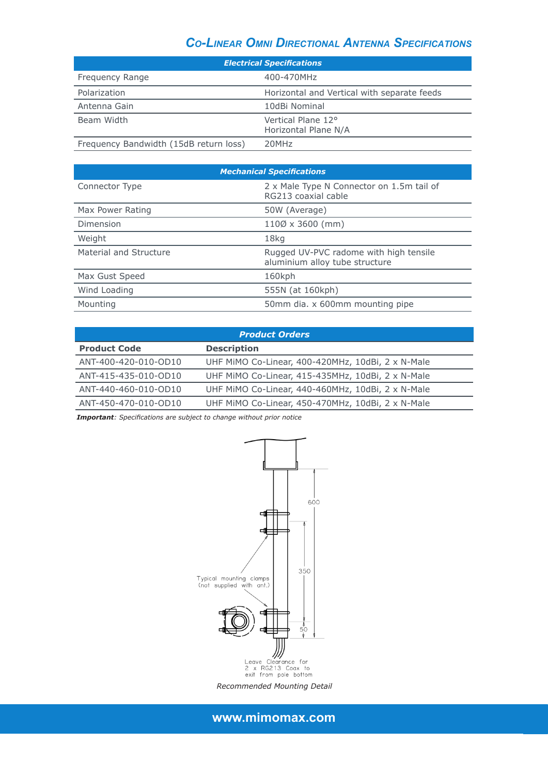### *Co-Linear Omni Directional Antenna Specifications*

| <b>Electrical Specifications</b>       |                                             |
|----------------------------------------|---------------------------------------------|
| Frequency Range                        | 400-470MHz                                  |
| Polarization                           | Horizontal and Vertical with separate feeds |
| Antenna Gain                           | 10dBi Nominal                               |
| Beam Width                             | Vertical Plane 12°<br>Horizontal Plane N/A  |
| Frequency Bandwidth (15dB return loss) | 20MHz                                       |

| <b>Mechanical Specifications</b> |                                                                          |
|----------------------------------|--------------------------------------------------------------------------|
| Connector Type                   | 2 x Male Type N Connector on 1.5m tail of<br>RG213 coaxial cable         |
| Max Power Rating                 | 50W (Average)                                                            |
| Dimension                        | $110\% \times 3600$ (mm)                                                 |
| Weight                           | 18kg                                                                     |
| Material and Structure           | Rugged UV-PVC radome with high tensile<br>aluminium alloy tube structure |
| Max Gust Speed                   | 160kph                                                                   |
| Wind Loading                     | 555N (at 160kph)                                                         |
| Mounting                         | 50mm dia. x 600mm mounting pipe                                          |

| <b>Product Orders</b> |                                                   |  |
|-----------------------|---------------------------------------------------|--|
| <b>Product Code</b>   | <b>Description</b>                                |  |
| ANT-400-420-010-OD10  | UHF MIMO Co-Linear, 400-420MHz, 10dBi, 2 x N-Male |  |
| ANT-415-435-010-OD10  | UHF MIMO Co-Linear, 415-435MHz, 10dBi, 2 x N-Male |  |
| ANT-440-460-010-OD10  | UHF MIMO Co-Linear, 440-460MHz, 10dBi, 2 x N-Male |  |
| ANT-450-470-010-OD10  | UHF MiMO Co-Linear, 450-470MHz, 10dBi, 2 x N-Male |  |

*Important: Specifications are subject to change without prior notice*



*Recommended Mounting Detail*

**www.mimomax.com**